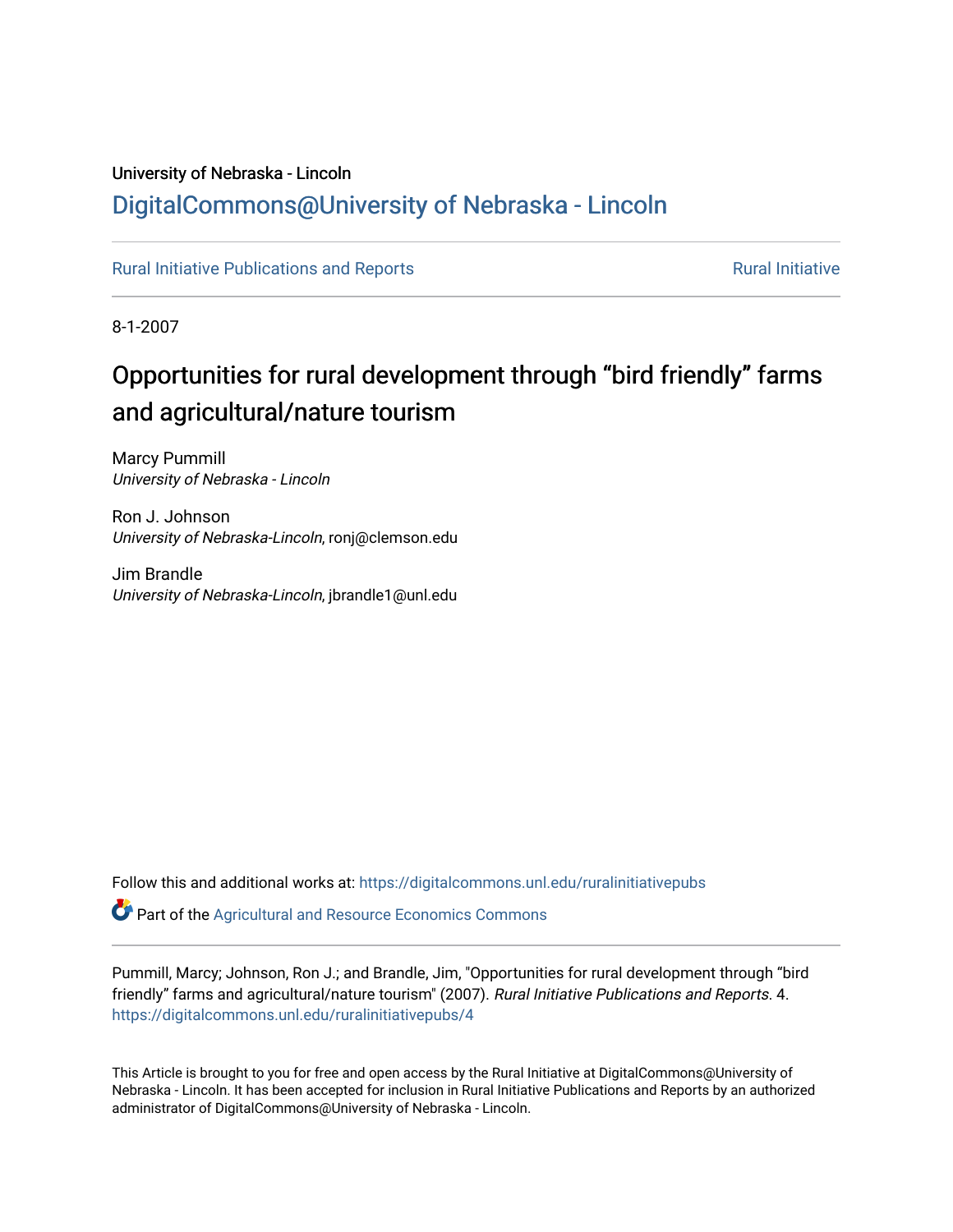## University of Nebraska - Lincoln [DigitalCommons@University of Nebraska - Lincoln](https://digitalcommons.unl.edu/)

[Rural Initiative Publications and Reports](https://digitalcommons.unl.edu/ruralinitiativepubs) **[Rural Initiative](https://digitalcommons.unl.edu/rural_initiative) Rural Initiative** Rural Initiative

8-1-2007

## Opportunities for rural development through "bird friendly" farms and agricultural/nature tourism

Marcy Pummill University of Nebraska - Lincoln

Ron J. Johnson University of Nebraska-Lincoln, ronj@clemson.edu

Jim Brandle University of Nebraska-Lincoln, jbrandle1@unl.edu

Follow this and additional works at: [https://digitalcommons.unl.edu/ruralinitiativepubs](https://digitalcommons.unl.edu/ruralinitiativepubs?utm_source=digitalcommons.unl.edu%2Fruralinitiativepubs%2F4&utm_medium=PDF&utm_campaign=PDFCoverPages) 

Part of the [Agricultural and Resource Economics Commons](http://network.bepress.com/hgg/discipline/317?utm_source=digitalcommons.unl.edu%2Fruralinitiativepubs%2F4&utm_medium=PDF&utm_campaign=PDFCoverPages) 

Pummill, Marcy; Johnson, Ron J.; and Brandle, Jim, "Opportunities for rural development through "bird friendly" farms and agricultural/nature tourism" (2007). Rural Initiative Publications and Reports. 4. [https://digitalcommons.unl.edu/ruralinitiativepubs/4](https://digitalcommons.unl.edu/ruralinitiativepubs/4?utm_source=digitalcommons.unl.edu%2Fruralinitiativepubs%2F4&utm_medium=PDF&utm_campaign=PDFCoverPages) 

This Article is brought to you for free and open access by the Rural Initiative at DigitalCommons@University of Nebraska - Lincoln. It has been accepted for inclusion in Rural Initiative Publications and Reports by an authorized administrator of DigitalCommons@University of Nebraska - Lincoln.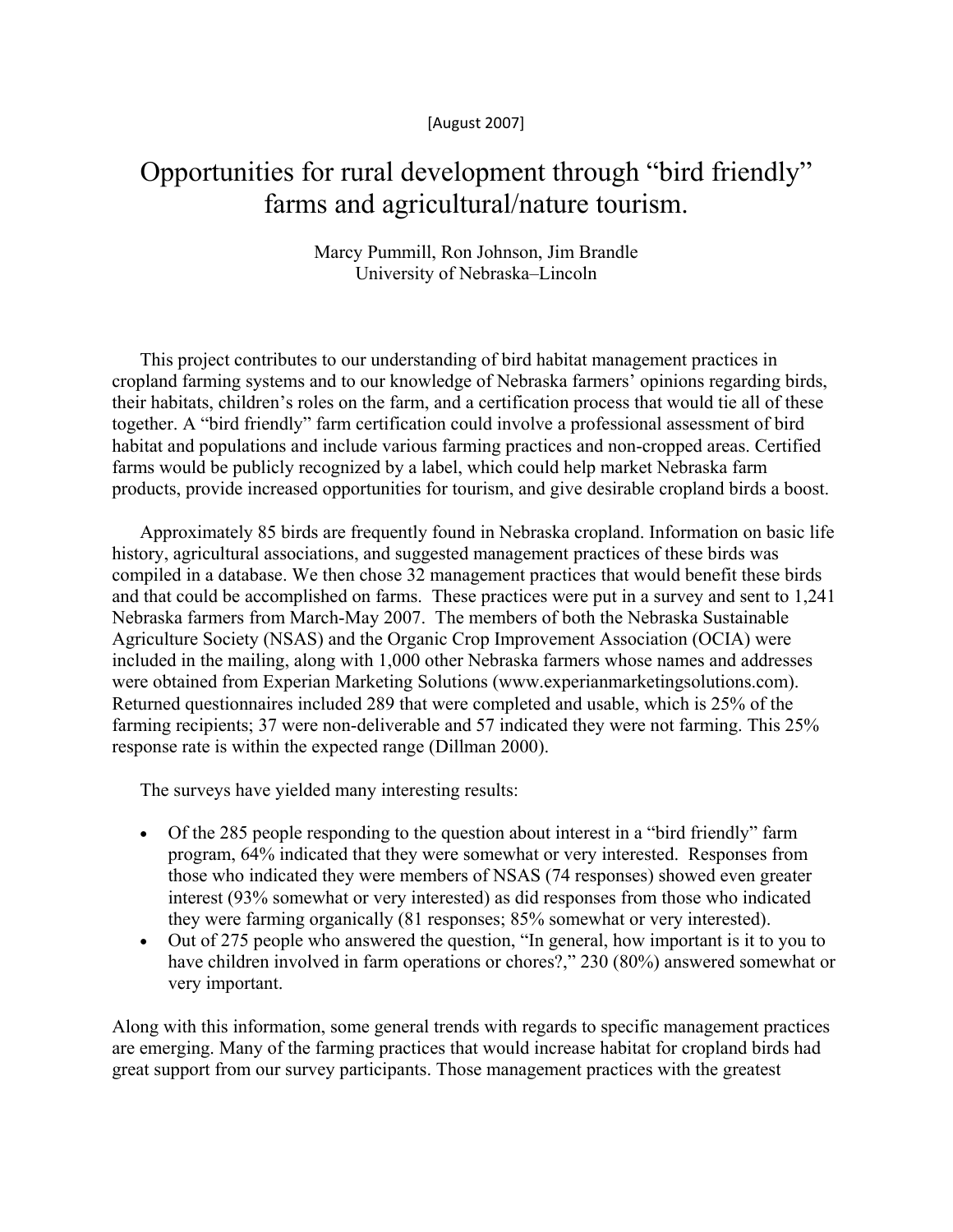[August 2007]

## Opportunities for rural development through "bird friendly" farms and agricultural/nature tourism.

## Marcy Pummill, Ron Johnson, Jim Brandle University of Nebraska–Lincoln

This project contributes to our understanding of bird habitat management practices in cropland farming systems and to our knowledge of Nebraska farmers' opinions regarding birds, their habitats, children's roles on the farm, and a certification process that would tie all of these together. A "bird friendly" farm certification could involve a professional assessment of bird habitat and populations and include various farming practices and non-cropped areas. Certified farms would be publicly recognized by a label, which could help market Nebraska farm products, provide increased opportunities for tourism, and give desirable cropland birds a boost.

Approximately 85 birds are frequently found in Nebraska cropland. Information on basic life history, agricultural associations, and suggested management practices of these birds was compiled in a database. We then chose 32 management practices that would benefit these birds and that could be accomplished on farms. These practices were put in a survey and sent to 1,241 Nebraska farmers from March-May 2007. The members of both the Nebraska Sustainable Agriculture Society (NSAS) and the Organic Crop Improvement Association (OCIA) were included in the mailing, along with 1,000 other Nebraska farmers whose names and addresses were obtained from Experian Marketing Solutions (www.experianmarketingsolutions.com). Returned questionnaires included 289 that were completed and usable, which is 25% of the farming recipients; 37 were non-deliverable and 57 indicated they were not farming. This 25% response rate is within the expected range (Dillman 2000).

The surveys have yielded many interesting results:

- Of the 285 people responding to the question about interest in a "bird friendly" farm program, 64% indicated that they were somewhat or very interested. Responses from those who indicated they were members of NSAS (74 responses) showed even greater interest (93% somewhat or very interested) as did responses from those who indicated they were farming organically (81 responses; 85% somewhat or very interested).
- Out of 275 people who answered the question, "In general, how important is it to you to have children involved in farm operations or chores?," 230 (80%) answered somewhat or very important.

Along with this information, some general trends with regards to specific management practices are emerging. Many of the farming practices that would increase habitat for cropland birds had great support from our survey participants. Those management practices with the greatest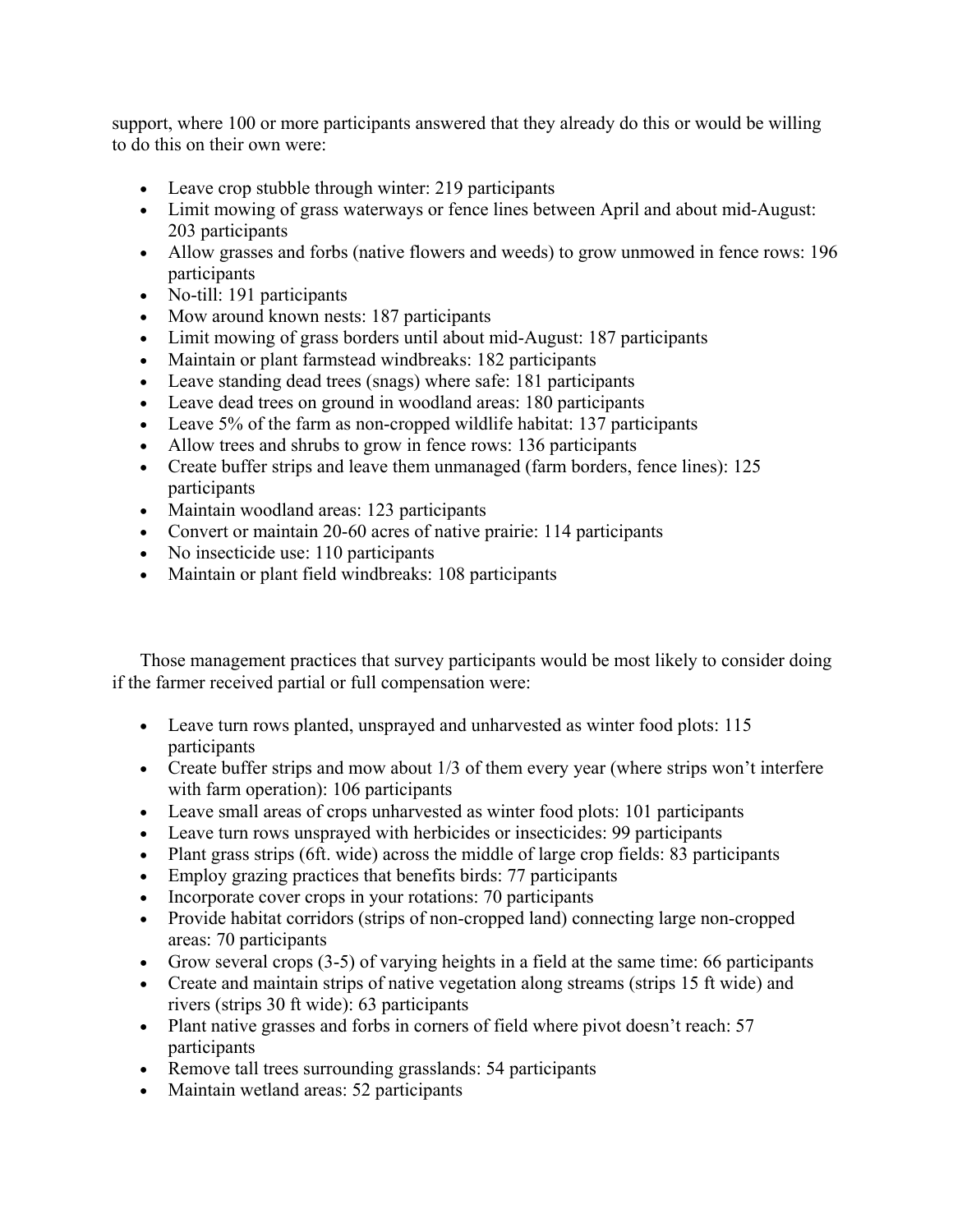support, where 100 or more participants answered that they already do this or would be willing to do this on their own were:

- Leave crop stubble through winter: 219 participants
- Limit mowing of grass waterways or fence lines between April and about mid-August: 203 participants
- Allow grasses and forbs (native flowers and weeds) to grow unmowed in fence rows: 196 participants
- No-till: 191 participants
- Mow around known nests: 187 participants
- Limit mowing of grass borders until about mid-August: 187 participants
- Maintain or plant farmstead windbreaks: 182 participants
- Leave standing dead trees (snags) where safe: 181 participants
- Leave dead trees on ground in woodland areas: 180 participants
- Leave 5% of the farm as non-cropped wildlife habitat: 137 participants
- Allow trees and shrubs to grow in fence rows: 136 participants
- Create buffer strips and leave them unmanaged (farm borders, fence lines): 125 participants
- Maintain woodland areas: 123 participants
- Convert or maintain 20-60 acres of native prairie: 114 participants
- No insecticide use: 110 participants
- Maintain or plant field windbreaks: 108 participants

Those management practices that survey participants would be most likely to consider doing if the farmer received partial or full compensation were:

- Leave turn rows planted, unsprayed and unharvested as winter food plots: 115 participants
- Create buffer strips and mow about 1/3 of them every year (where strips won't interfere with farm operation): 106 participants
- Leave small areas of crops unharvested as winter food plots: 101 participants
- Leave turn rows unsprayed with herbicides or insecticides: 99 participants
- Plant grass strips (6ft. wide) across the middle of large crop fields: 83 participants
- Employ grazing practices that benefits birds: 77 participants
- Incorporate cover crops in your rotations: 70 participants
- Provide habitat corridors (strips of non-cropped land) connecting large non-cropped areas: 70 participants
- Grow several crops (3-5) of varying heights in a field at the same time: 66 participants
- Create and maintain strips of native vegetation along streams (strips 15 ft wide) and rivers (strips 30 ft wide): 63 participants
- Plant native grasses and forbs in corners of field where pivot doesn't reach: 57 participants
- Remove tall trees surrounding grasslands: 54 participants
- Maintain wetland areas: 52 participants